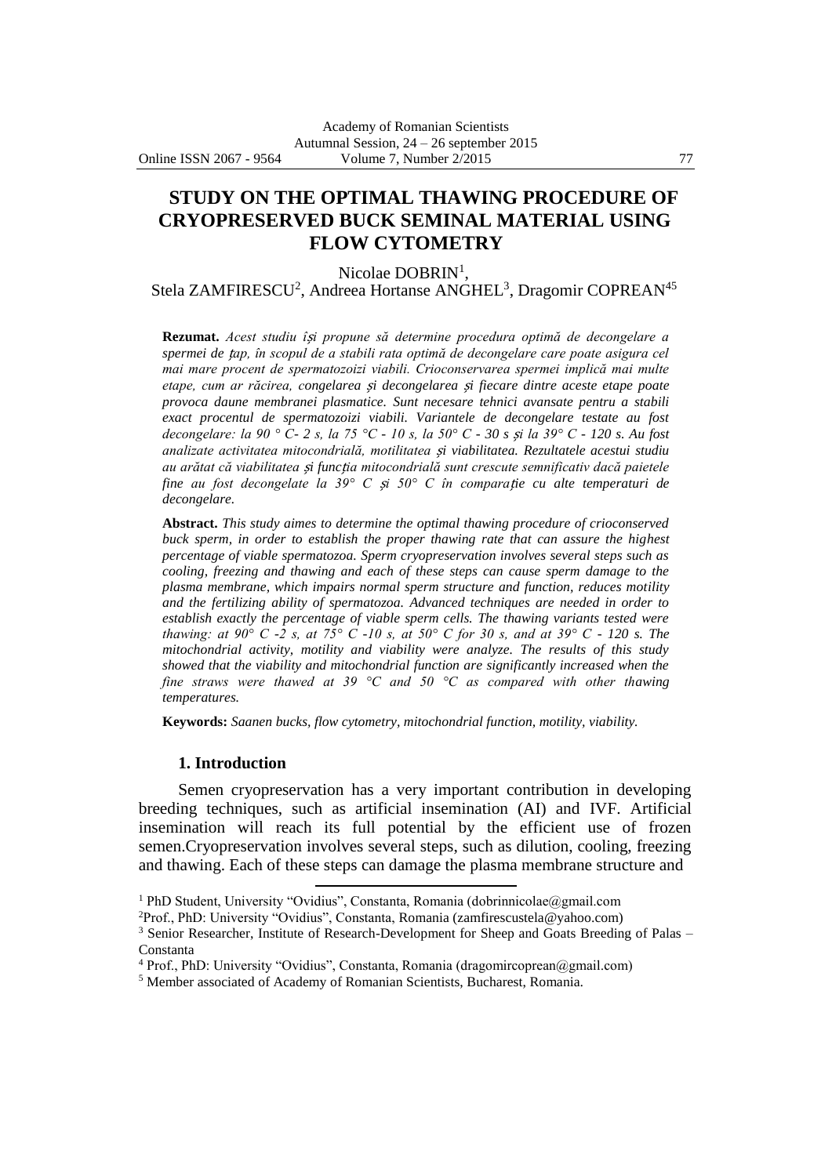# **STUDY ON THE OPTIMAL THAWING PROCEDURE OF CRYOPRESERVED BUCK SEMINAL MATERIAL USING FLOW CYTOMETRY**

Nicolae DOBRIN<sup>1</sup>,

Stela ZAMFIRESCU<sup>2</sup>, Andreea Hortanse ANGHEL<sup>3</sup>, Dragomir COPREAN<sup>45</sup>

**Rezumat.** *Acest studiu î*ș*i propune să determine procedura optimă de decongelare a spermei de* ț*ap, în scopul de a stabili rata optimă de decongelare care poate asigura cel mai mare procent de spermatozoizi viabili. Crioconservarea spermei implică mai multe etape, cum ar răcirea, congelarea* ș*i decongelarea* ș*i fiecare dintre aceste etape poate provoca daune membranei plasmatice. Sunt necesare tehnici avansate pentru a stabili exact procentul de spermatozoizi viabili. Variantele de decongelare testate au fost decongelare: la 90 ° C- 2 s, la 75 °C - 10 s, la 50° C - 30 s* ș*i la 39° C - 120 s. Au fost analizate activitatea mitocondrială, motilitatea* ș*i viabilitatea. Rezultatele acestui studiu au arătat că viabilitatea* ș*i func*ț*ia mitocondrială sunt crescute semnificativ dacă paietele fine au fost decongelate la 39° C* ș*i 50° C în compara*ț*ie cu alte temperaturi de decongelare.*

**Abstract.** *This study aimes to determine the optimal thawing procedure of crioconserved buck sperm, in order to establish the proper thawing rate that can assure the highest percentage of viable spermatozoa. Sperm cryopreservation involves several steps such as cooling, freezing and thawing and each of these steps can cause sperm damage to the plasma membrane, which impairs normal sperm structure and function, reduces motility and the fertilizing ability of spermatozoa. Advanced techniques are needed in order to establish exactly the percentage of viable sperm cells. The thawing variants tested were thawing: at 90° C -2 s, at 75° C -10 s, at 50° C for 30 s, and at 39° C - 120 s. The mitochondrial activity, motility and viability were analyze. The results of this study showed that the viability and mitochondrial function are significantly increased when the fine straws were thawed at 39 °C and 50 °C as compared with other thawing temperatures.*

**Keywords:** *Saanen bucks, flow cytometry, mitochondrial function, motility, viability.*

#### **1. Introduction**

Semen cryopreservation has a very important contribution in developing breeding techniques, such as artificial insemination (AI) and IVF. Artificial insemination will reach its full potential by the efficient use of frozen semen.Cryopreservation involves several steps, such as dilution, cooling, freezing and thawing. Each of these steps can damage the plasma membrane structure and

 $\overline{a}$ 

<sup>&</sup>lt;sup>1</sup> PhD Student, University "Ovidius", Constanta, Romania (dobrinnicolae@gmail.com

<sup>2</sup>Prof., PhD: University "Ovidius", Constanta, Romania (zamfirescustela@yahoo.com)

<sup>&</sup>lt;sup>3</sup> Senior Researcher, Institute of Research-Development for Sheep and Goats Breeding of Palas – Constanta

<sup>&</sup>lt;sup>4</sup> Prof., PhD: University "Ovidius", Constanta, Romania (dragomircoprean@gmail.com)

<sup>5</sup> Member associated of Academy of Romanian Scientists, Bucharest, Romania.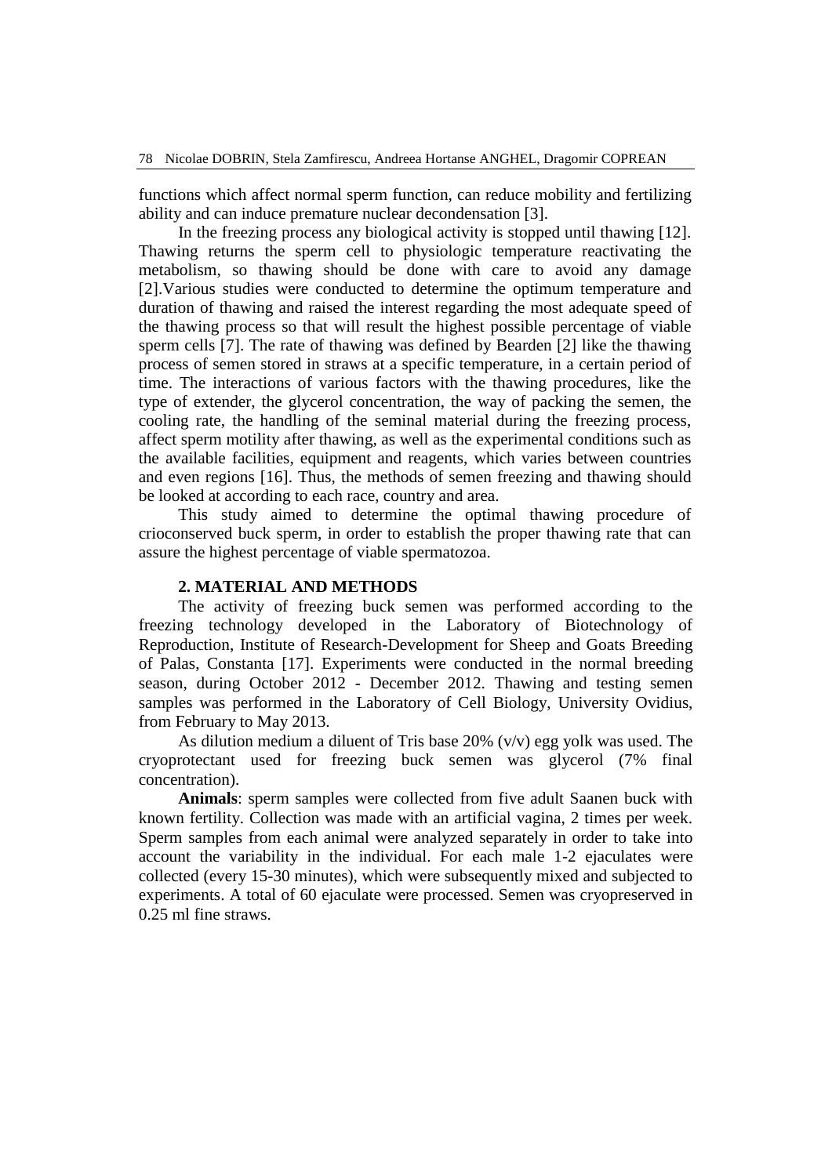functions which affect normal sperm function, can reduce mobility and fertilizing ability and can induce premature nuclear decondensation [3].

In the freezing process any biological activity is stopped until thawing [12]. Thawing returns the sperm cell to physiologic temperature reactivating the metabolism, so thawing should be done with care to avoid any damage [2].Various studies were conducted to determine the optimum temperature and duration of thawing and raised the interest regarding the most adequate speed of the thawing process so that will result the highest possible percentage of viable sperm cells [7]. The rate of thawing was defined by Bearden [2] like the thawing process of semen stored in straws at a specific temperature, in a certain period of time. The interactions of various factors with the thawing procedures, like the type of extender, the glycerol concentration, the way of packing the semen, the cooling rate, the handling of the seminal material during the freezing process, affect sperm motility after thawing, as well as the experimental conditions such as the available facilities, equipment and reagents, which varies between countries and even regions [16]. Thus, the methods of semen freezing and thawing should be looked at according to each race, country and area.

This study aimed to determine the optimal thawing procedure of crioconserved buck sperm, in order to establish the proper thawing rate that can assure the highest percentage of viable spermatozoa.

#### **2. MATERIAL AND METHODS**

The activity of freezing buck semen was performed according to the freezing technology developed in the Laboratory of Biotechnology of Reproduction, Institute of Research-Development for Sheep and Goats Breeding of Palas, Constanta [17]. Experiments were conducted in the normal breeding season, during October 2012 - December 2012. Thawing and testing semen samples was performed in the Laboratory of Cell Biology, University Ovidius, from February to May 2013.

As dilution medium a diluent of Tris base 20% (v/v) egg yolk was used. The cryoprotectant used for freezing buck semen was glycerol (7% final concentration).

**Animals**: sperm samples were collected from five adult Saanen buck with known fertility. Collection was made with an artificial vagina, 2 times per week. Sperm samples from each animal were analyzed separately in order to take into account the variability in the individual. For each male 1-2 ejaculates were collected (every 15-30 minutes), which were subsequently mixed and subjected to experiments. A total of 60 ejaculate were processed. Semen was cryopreserved in 0.25 ml fine straws.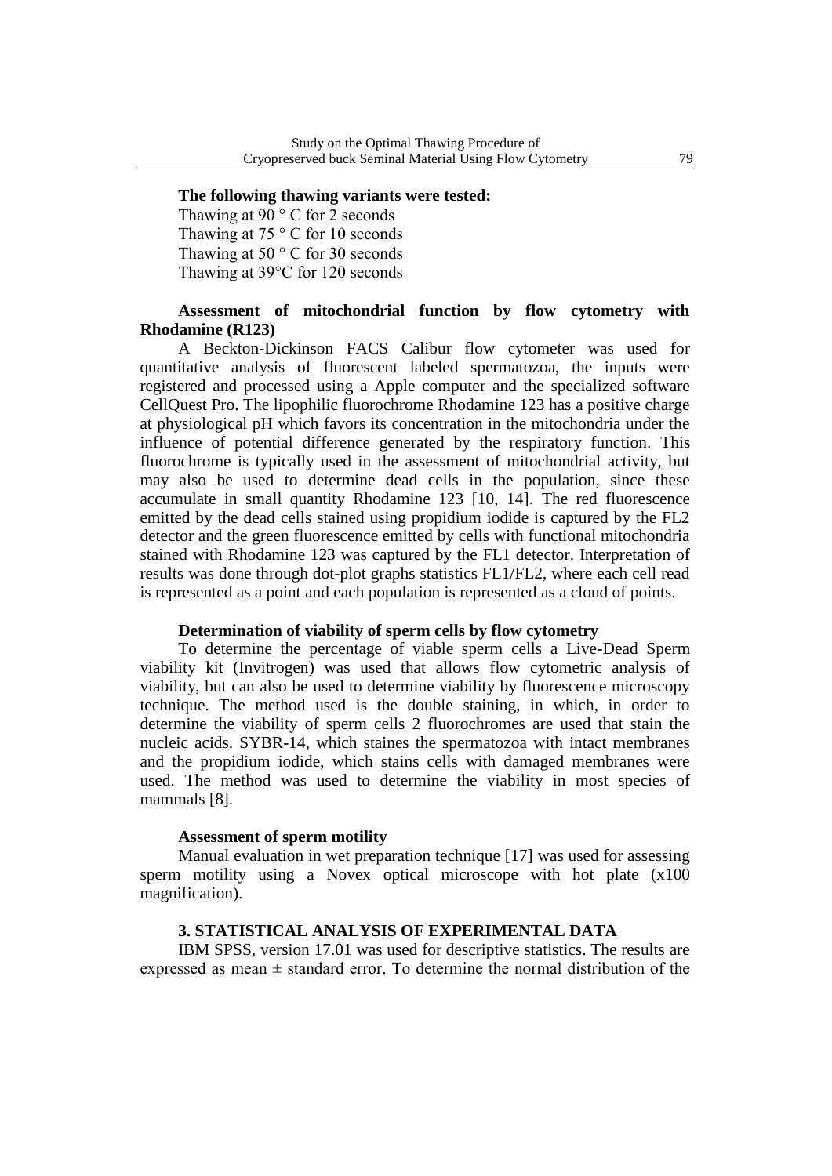#### **The following thawing variants were tested:**

Thawing at  $90^\circ$  C for 2 seconds Thawing at 75 °C for 10 seconds Thawing at 50 °C for 30 seconds Thawing at 39°C for 120 seconds

### **Assessment of mitochondrial function by flow cytometry with Rhodamine (R123)**

A Beckton-Dickinson FACS Calibur flow cytometer was used for quantitative analysis of fluorescent labeled spermatozoa, the inputs were registered and processed using a Apple computer and the specialized software CellQuest Pro. The lipophilic fluorochrome Rhodamine 123 has a positive charge at physiological pH which favors its concentration in the mitochondria under the influence of potential difference generated by the respiratory function. This fluorochrome is typically used in the assessment of mitochondrial activity, but may also be used to determine dead cells in the population, since these accumulate in small quantity Rhodamine 123 [10, 14]. The red fluorescence emitted by the dead cells stained using propidium iodide is captured by the FL2 detector and the green fluorescence emitted by cells with functional mitochondria stained with Rhodamine 123 was captured by the FL1 detector. Interpretation of results was done through dot-plot graphs statistics FL1/FL2, where each cell read is represented as a point and each population is represented as a cloud of points.

#### **Determination of viability of sperm cells by flow cytometry**

To determine the percentage of viable sperm cells a Live-Dead Sperm viability kit (Invitrogen) was used that allows flow cytometric analysis of viability, but can also be used to determine viability by fluorescence microscopy technique. The method used is the double staining, in which, in order to determine the viability of sperm cells 2 fluorochromes are used that stain the nucleic acids. SYBR-14, which staines the spermatozoa with intact membranes and the propidium iodide, which stains cells with damaged membranes were used. The method was used to determine the viability in most species of mammals [8].

#### **Assessment of sperm motility**

Manual evaluation in wet preparation technique [17] was used for assessing sperm motility using a Novex optical microscope with hot plate (x100 magnification).

## **3. STATISTICAL ANALYSIS OF EXPERIMENTAL DATA**

IBM SPSS, version 17.01 was used for descriptive statistics. The results are expressed as mean  $\pm$  standard error. To determine the normal distribution of the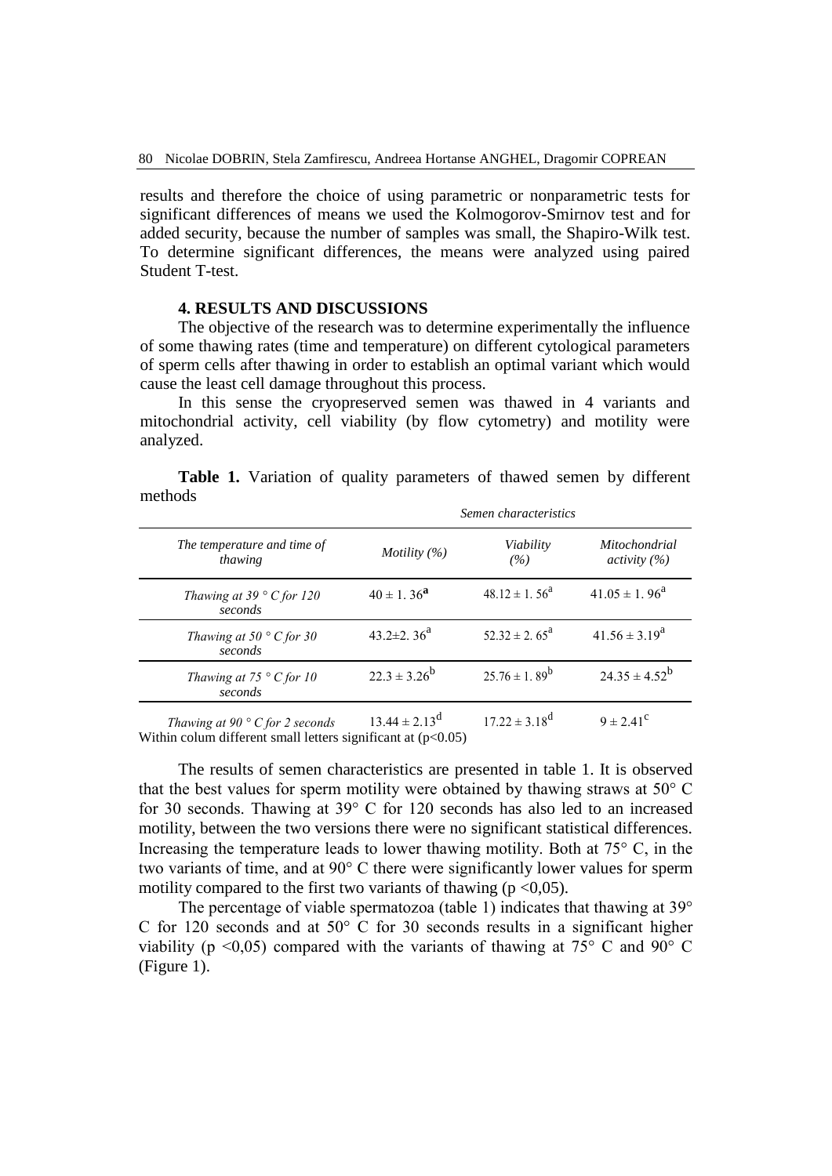results and therefore the choice of using parametric or nonparametric tests for significant differences of means we used the Kolmogorov-Smirnov test and for added security, because the number of samples was small, the Shapiro-Wilk test. To determine significant differences, the means were analyzed using paired Student T-test.

#### **4. RESULTS AND DISCUSSIONS**

The objective of the research was to determine experimentally the influence of some thawing rates (time and temperature) on different cytological parameters of sperm cells after thawing in order to establish an optimal variant which would cause the least cell damage throughout this process.

In this sense the cryopreserved semen was thawed in 4 variants and mitochondrial activity, cell viability (by flow cytometry) and motility were analyzed.

| The temperature and time of<br>thawing       | Semen characteristics        |                             |                                      |
|----------------------------------------------|------------------------------|-----------------------------|--------------------------------------|
|                                              | Motility $(\%)$              | Viability<br>(%)            | <i>Mitochondrial</i><br>activity (%) |
| Thawing at 39 $\degree$ C for 120<br>seconds | $40 \pm 1.36^{\rm a}$        | $48.12 \pm 1.56^{\circ}$    | $41.05 \pm 1.96^{\text{a}}$          |
| Thawing at 50 $\degree$ C for 30<br>seconds  | 43.2 $\pm$ 2.36 <sup>a</sup> | $52.32 \pm 2.65^{\text{a}}$ | $41.56 \pm 3.19^a$                   |
| Thawing at $75 \degree C$ for 10<br>seconds  | $22.3 \pm 3.26^b$            | $25.76 \pm 1.89^b$          | $24.35 \pm 4.52^b$                   |
| Thawing at 90 $\degree$ C for 2 seconds      | $13.44 \pm 2.13^d$           | $17.22 \pm 3.18^d$          | $9 \pm 2.41^{\circ}$                 |

**Table 1.** Variation of quality parameters of thawed semen by different methods

Within colum different small letters significant at  $(p<0.05)$ 

The results of semen characteristics are presented in table 1. It is observed that the best values for sperm motility were obtained by thawing straws at 50° C for 30 seconds. Thawing at 39° C for 120 seconds has also led to an increased motility, between the two versions there were no significant statistical differences. Increasing the temperature leads to lower thawing motility. Both at  $75^{\circ}$  C, in the two variants of time, and at 90° C there were significantly lower values for sperm motility compared to the first two variants of thawing ( $p \le 0.05$ ).

The percentage of viable spermatozoa (table 1) indicates that thawing at 39° C for 120 seconds and at 50° C for 30 seconds results in a significant higher viability ( $p \le 0.05$ ) compared with the variants of thawing at 75 $\degree$  C and 90 $\degree$  C (Figure 1).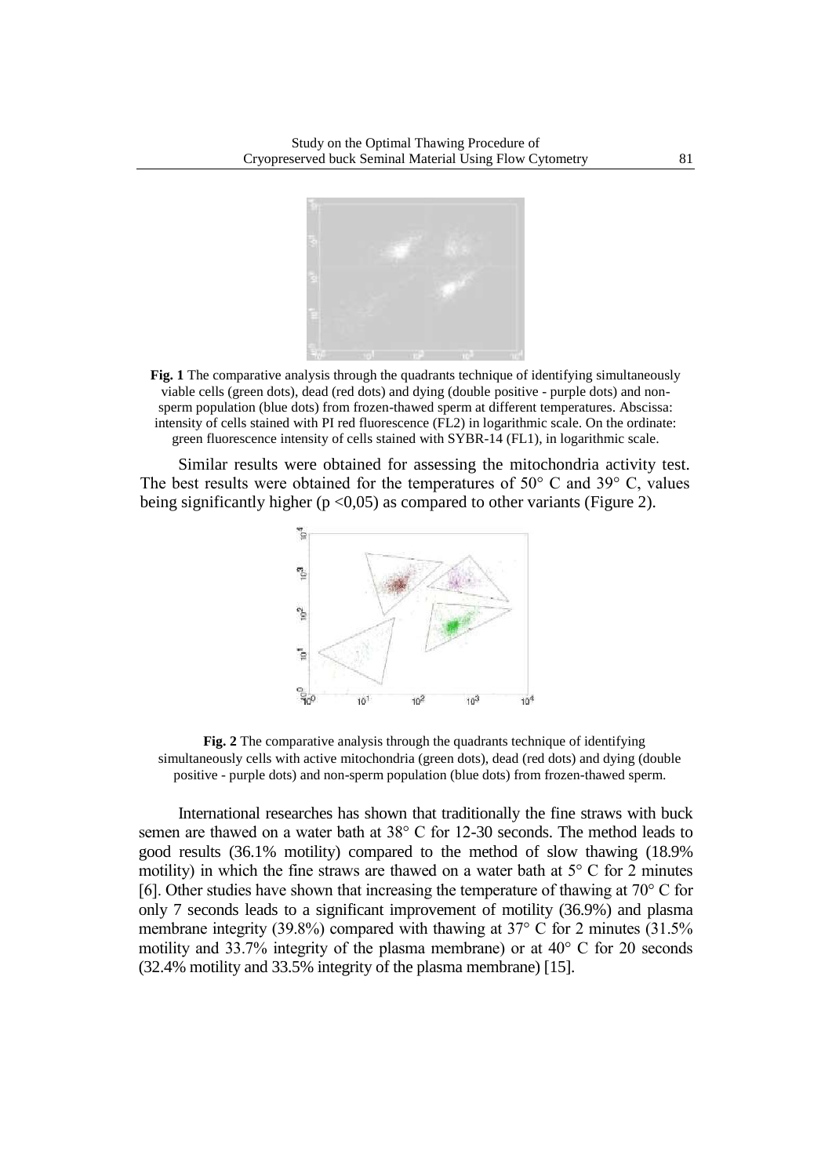

**Fig. 1** The comparative analysis through the quadrants technique of identifying simultaneously viable cells (green dots), dead (red dots) and dying (double positive - purple dots) and nonsperm population (blue dots) from frozen-thawed sperm at different temperatures. Abscissa: intensity of cells stained with PI red fluorescence (FL2) in logarithmic scale. On the ordinate: green fluorescence intensity of cells stained with SYBR-14 (FL1), in logarithmic scale.

Similar results were obtained for assessing the mitochondria activity test. The best results were obtained for the temperatures of  $50^{\circ}$  C and  $39^{\circ}$  C, values being significantly higher ( $p < 0.05$ ) as compared to other variants (Figure 2).



**Fig. 2** The comparative analysis through the quadrants technique of identifying simultaneously cells with active mitochondria (green dots), dead (red dots) and dying (double positive - purple dots) and non-sperm population (blue dots) from frozen-thawed sperm.

International researches has shown that traditionally the fine straws with buck semen are thawed on a water bath at 38° C for 12-30 seconds. The method leads to good results (36.1% motility) compared to the method of slow thawing (18.9% motility) in which the fine straws are thawed on a water bath at  $5^{\circ}$  C for 2 minutes [6]. Other studies have shown that increasing the temperature of thawing at  $70^{\circ}$  C for only 7 seconds leads to a significant improvement of motility (36.9%) and plasma membrane integrity (39.8%) compared with thawing at 37° C for 2 minutes (31.5% motility and 33.7% integrity of the plasma membrane) or at 40° C for 20 seconds (32.4% motility and 33.5% integrity of the plasma membrane) [15].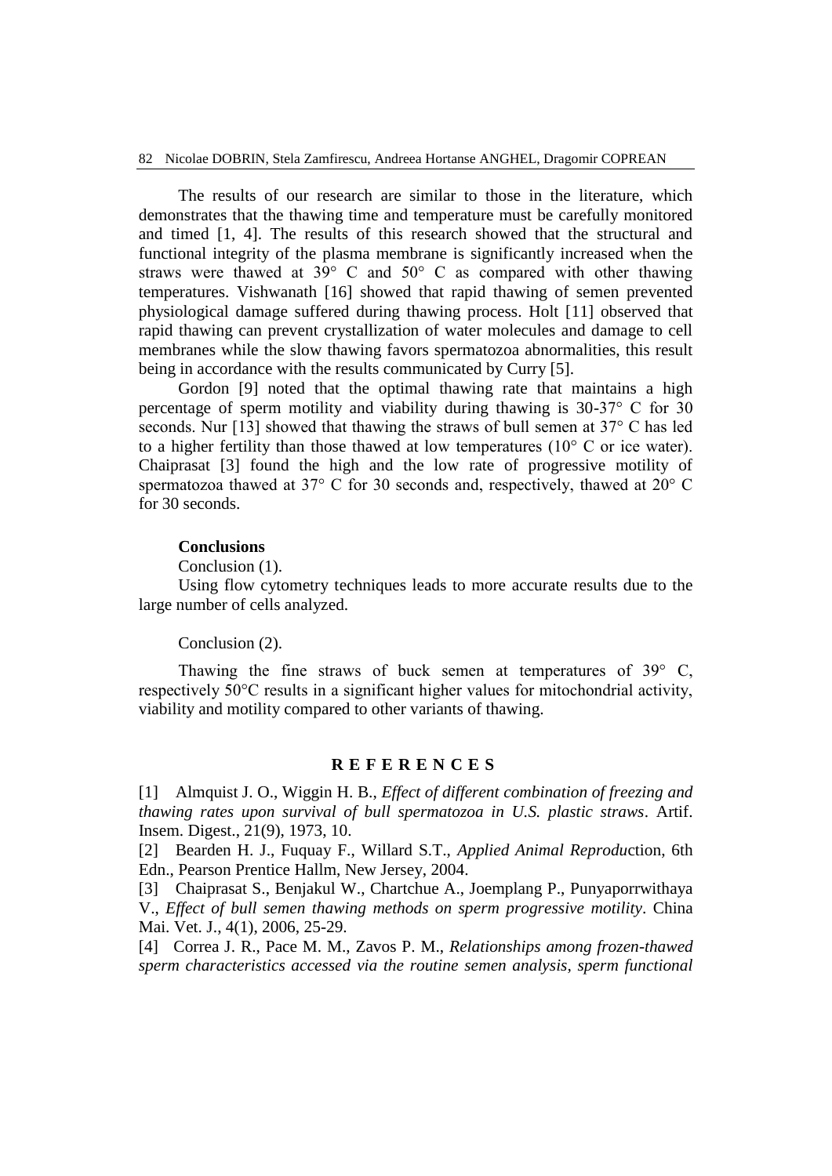The results of our research are similar to those in the literature, which demonstrates that the thawing time and temperature must be carefully monitored and timed [1, 4]. The results of this research showed that the structural and functional integrity of the plasma membrane is significantly increased when the straws were thawed at 39° C and 50° C as compared with other thawing temperatures. Vishwanath [16] showed that rapid thawing of semen prevented physiological damage suffered during thawing process. Holt [11] observed that rapid thawing can prevent crystallization of water molecules and damage to cell membranes while the slow thawing favors spermatozoa abnormalities, this result being in accordance with the results communicated by Curry [5].

Gordon [9] noted that the optimal thawing rate that maintains a high percentage of sperm motility and viability during thawing is 30-37° C for 30 seconds. Nur [13] showed that thawing the straws of bull semen at 37° C has led to a higher fertility than those thawed at low temperatures  $(10^{\circ} \text{ C or ice water})$ . Chaiprasat [3] found the high and the low rate of progressive motility of spermatozoa thawed at 37° C for 30 seconds and, respectively, thawed at 20° C for 30 seconds.

#### **Conclusions**

Conclusion (1).

Using flow cytometry techniques leads to more accurate results due to the large number of cells analyzed.

#### Conclusion (2).

Thawing the fine straws of buck semen at temperatures of 39° C, respectively 50°C results in a significant higher values for mitochondrial activity, viability and motility compared to other variants of thawing.

#### **R E F E R E N C E S**

[1] Almquist J. O., Wiggin H. B., *Effect of different combination of freezing and thawing rates upon survival of bull spermatozoa in U.S. plastic straws*. Artif. Insem. Digest., 21(9), 1973, 10.

[2] Bearden H. J., Fuquay F., Willard S.T., *Applied Animal Reprodu*ction, 6th Edn., Pearson Prentice Hallm, New Jersey, 2004.

[3] Chaiprasat S., Benjakul W., Chartchue A., Joemplang P., Punyaporrwithaya V., *Effect of bull semen thawing methods on sperm progressive motility*. China Mai. Vet. J., 4(1), 2006, 25-29.

[4] Correa J. R., Pace M. M., Zavos P. M., *Relationships among frozen-thawed sperm characteristics accessed via the routine semen analysis, sperm functional*